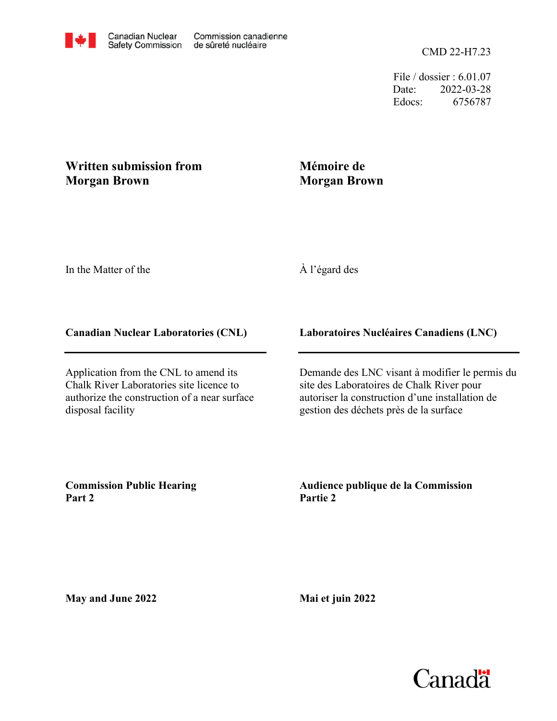File / dossier : 6.01.07 Date: 2022-03-28 Edocs: 6756787

## **Written submission from Morgan Brown**

## **Mémoire de Morgan Brown**

In the Matter of the

# À l'égard des

### **Canadian Nuclear Laboratories (CNL)**

Application from the CNL to amend its Chalk River Laboratories site licence to authorize the construction of a near surface disposal facility

## **Laboratoires Nucléaires Canadiens (LNC)**

Demande des LNC visant à modifier le permis du site des Laboratoires de Chalk River pour autoriser la construction d'une installation de gestion des déchets près de la surface

**Commission Public Hearing Part 2**

**Audience publique de la Commission Partie 2**

**May and June 2022**

**Mai et juin 2022**